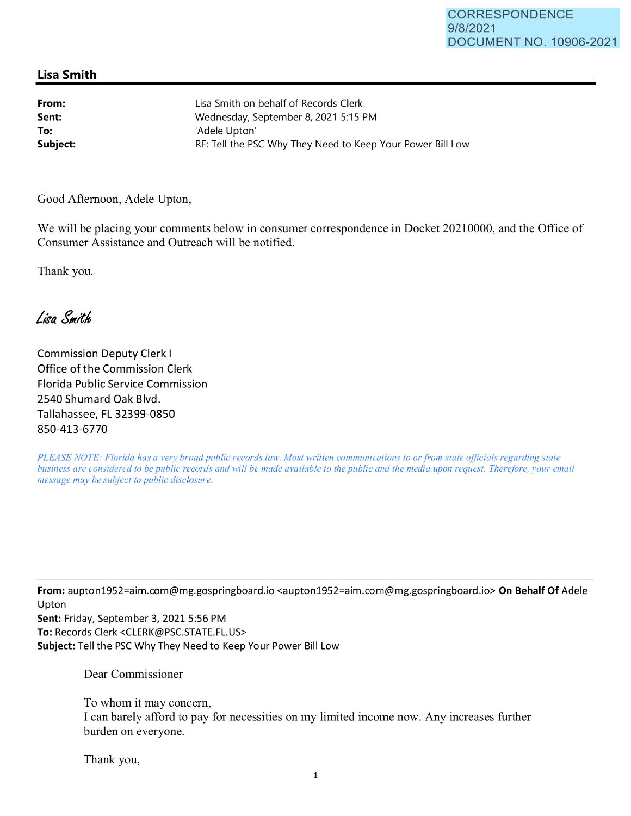## **Lisa Smith**

**From: Sent: To:** 

Lisa Smith on behalf of Records Clerk Wednesday, September 8, 2021 5:15 PM 'Adele Upton' **Subject: RE: Tell the PSC Why They Need to Keep Your Power Bill Low** 

Good Afternoon, Adele Upton,

We will be placing your comments below in consumer correspondence in Docket 20210000, and the Office of Consumer Assistance and Outreach will be notified.

Thank you.

Lisa Smith

Commission Deputy Clerk I Office of the Commission Clerk Florida Public Service Commission 2540 Shumard Oak Blvd. Tallahassee, FL 32399-0850 850-413-6770

*PLEASE NOTE: Florida has a very broad public records law. Most written communications to or from state officials regarding state business are considered to be public records and will be made available to the public and the media upon request. Therefore, your email message may be subject to public disclosure.* 

**From:** aupton1952=aim.com@mg.gospringboard.io <aupton1952=aim.com@mg.gospringboard.io> **On Behalf Of** Adele Upton

**Sent:** Friday, September 3, 2021 5:56 PM **To:** Records Clerk <CLERK@PSC.STATE.FL.US> **Subject:** Tell the PSC Why They Need to Keep Your Power Bill Low

Dear Commissioner

To whom it may concern, I can barely afford to pay for necessities on my limited income now. Any increases further burden on everyone.

Thank you,